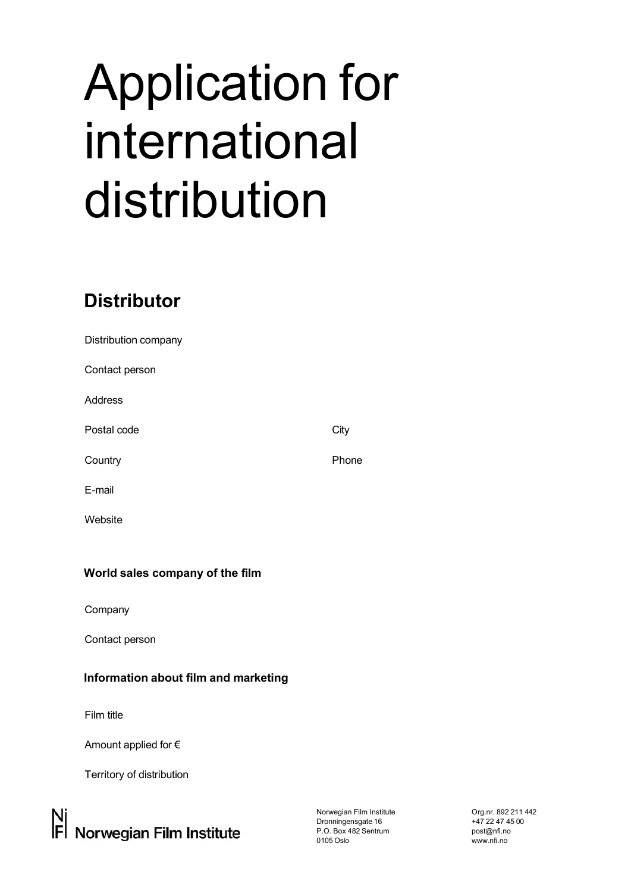# Application for international distribution

# **Distributor**

| Distribution company |       |
|----------------------|-------|
| Contact person       |       |
| <b>Address</b>       |       |
| Postal code          | City  |
| Country              | Phone |
| E-mail               |       |
| Website              |       |
|                      |       |

# **World sales company of the film**

Company

Contact person

# **Information about film and marketing**

Film title

Amount applied for €

Territory of distribution

Norwegian Film Institute Dronningensgate 16 P.O. Box 482 Sentrum 0105 Oslo

Org.nr. 892 211 442 +47 22 47 45 00 [post@nfi.no](mailto:post@nfi.no)  www.nfi.no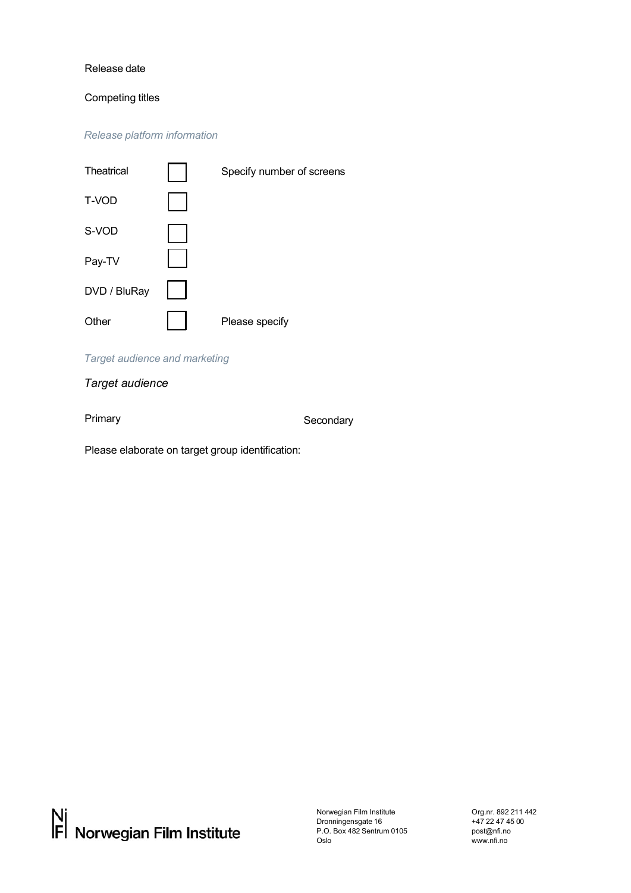#### Release date

#### Competing titles

*Release platform information*

| Theatrical   | Specify number of screens |
|--------------|---------------------------|
| T-VOD        |                           |
| S-VOD        |                           |
| Pay-TV       |                           |
| DVD / BluRay |                           |
| Other        | Please specify            |

#### *Target audience and marketing*

## *Target audience*

Primary **Secondary** Secondary

Please elaborate on target group identification:

Norwegian Film Institute Dronningensgate 16 P.O. Box 482 Sentrum 0105 Oslo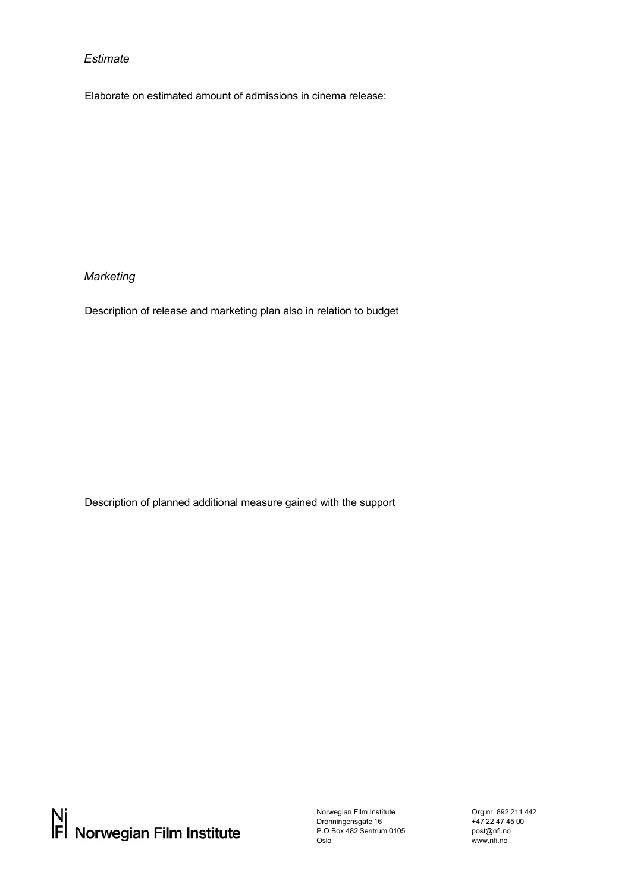#### *Estimate*

Elaborate on estimated amount of admissions in cinema release:

### *Marketing*

Description of release and marketing plan also in relation to budget

Description of planned additional measure gained with the support

Norwegian Film Institute Dronningensgate 16 P.O Box 482 Sentrum 0105 Oslo

Org.nr. 892 211 442 +47 22 47 45 00 [post@nfi.no](mailto:post@nfi.no)  www.nfi.no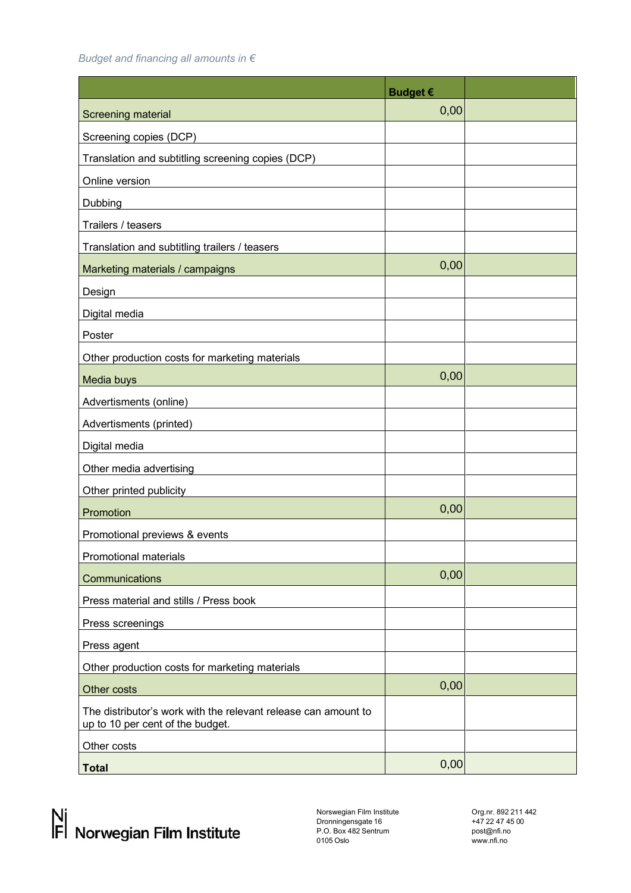*Budget and financing all amounts in €* 

|                                                                                                    | <b>Budget €</b> |  |
|----------------------------------------------------------------------------------------------------|-----------------|--|
| Screening material                                                                                 | 0,00            |  |
| Screening copies (DCP)                                                                             |                 |  |
| Translation and subtitling screening copies (DCP)                                                  |                 |  |
| Online version                                                                                     |                 |  |
| Dubbing                                                                                            |                 |  |
| Trailers / teasers                                                                                 |                 |  |
| Translation and subtitling trailers / teasers                                                      |                 |  |
| Marketing materials / campaigns                                                                    | 0,00            |  |
| Design                                                                                             |                 |  |
| Digital media                                                                                      |                 |  |
| Poster                                                                                             |                 |  |
| Other production costs for marketing materials                                                     |                 |  |
| Media buys                                                                                         | 0,00            |  |
| Advertisments (online)                                                                             |                 |  |
| Advertisments (printed)                                                                            |                 |  |
| Digital media                                                                                      |                 |  |
| Other media advertising                                                                            |                 |  |
| Other printed publicity                                                                            |                 |  |
| Promotion                                                                                          | 0,00            |  |
| Promotional previews & events                                                                      |                 |  |
| Promotional materials                                                                              |                 |  |
| Communications                                                                                     | 0,00            |  |
| Press material and stills / Press book                                                             |                 |  |
| Press screenings                                                                                   |                 |  |
| Press agent                                                                                        |                 |  |
| Other production costs for marketing materials                                                     |                 |  |
| Other costs                                                                                        | 0,00            |  |
| The distributor's work with the relevant release can amount to<br>up to 10 per cent of the budget. |                 |  |
| Other costs                                                                                        |                 |  |
| <b>Total</b>                                                                                       | 0,00            |  |

Norswegian Film Institute Dronningensgate 16 P.O. Box 482 Sentrum 0105 Oslo

Org.nr. 892 211 442 +47 22 47 45 00 [post@nfi.no](mailto:post@nfi.no)  www.nfi.no